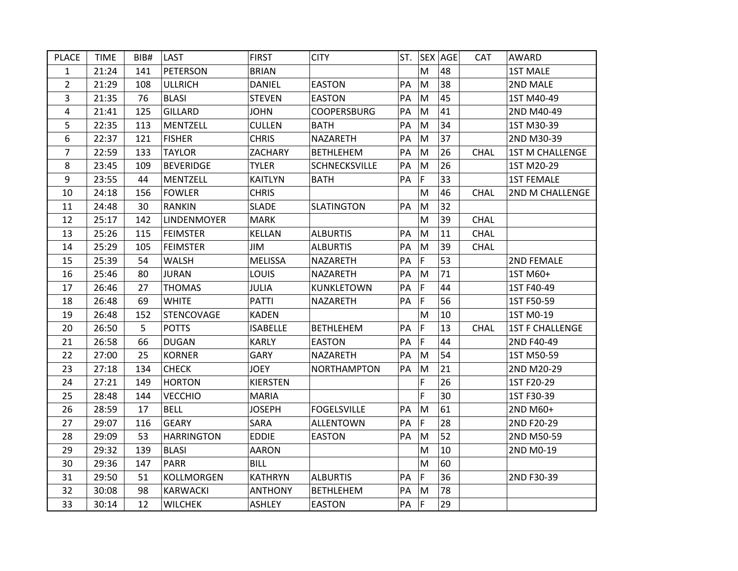| <b>PLACE</b>   | <b>TIME</b> | BIB# | LAST              | <b>FIRST</b>    | <b>CITY</b>        | ST. |             | <b>SEX AGE</b> | <b>CAT</b>  | AWARD                  |
|----------------|-------------|------|-------------------|-----------------|--------------------|-----|-------------|----------------|-------------|------------------------|
| 1              | 21:24       | 141  | <b>PETERSON</b>   | <b>BRIAN</b>    |                    |     | M           | 48             |             | <b>1ST MALE</b>        |
| $\overline{2}$ | 21:29       | 108  | <b>ULLRICH</b>    | <b>DANIEL</b>   | <b>EASTON</b>      | PA  | M           | 38             |             | 2ND MALE               |
| 3              | 21:35       | 76   | <b>BLASI</b>      | <b>STEVEN</b>   | <b>EASTON</b>      | PA  | M           | 45             |             | 1ST M40-49             |
| 4              | 21:41       | 125  | <b>GILLARD</b>    | <b>JOHN</b>     | <b>COOPERSBURG</b> | PA  | M           | 41             |             | 2ND M40-49             |
| 5              | 22:35       | 113  | <b>MENTZELL</b>   | <b>CULLEN</b>   | <b>BATH</b>        | PA  | M           | 34             |             | 1ST M30-39             |
| 6              | 22:37       | 121  | <b>FISHER</b>     | <b>CHRIS</b>    | NAZARETH           | PA  | M           | 37             |             | 2ND M30-39             |
| $\overline{7}$ | 22:59       | 133  | <b>TAYLOR</b>     | ZACHARY         | <b>BETHLEHEM</b>   | PA  | M           | 26             | <b>CHAL</b> | <b>1ST M CHALLENGE</b> |
| 8              | 23:45       | 109  | <b>BEVERIDGE</b>  | <b>TYLER</b>    | SCHNECKSVILLE      | PA  | M           | 26             |             | 1ST M20-29             |
| 9              | 23:55       | 44   | MENTZELL          | <b>KAITLYN</b>  | <b>BATH</b>        | PA  | F           | 33             |             | <b>1ST FEMALE</b>      |
| 10             | 24:18       | 156  | <b>FOWLER</b>     | <b>CHRIS</b>    |                    |     | M           | 46             | <b>CHAL</b> | 2ND M CHALLENGE        |
| 11             | 24:48       | 30   | <b>RANKIN</b>     | <b>SLADE</b>    | <b>SLATINGTON</b>  | PA  | M           | 32             |             |                        |
| 12             | 25:17       | 142  | LINDENMOYER       | <b>MARK</b>     |                    |     | M           | 39             | <b>CHAL</b> |                        |
| 13             | 25:26       | 115  | <b>FEIMSTER</b>   | KELLAN          | <b>ALBURTIS</b>    | PA  | M           | 11             | <b>CHAL</b> |                        |
| 14             | 25:29       | 105  | <b>FEIMSTER</b>   | JIM             | <b>ALBURTIS</b>    | PA  | M           | 39             | <b>CHAL</b> |                        |
| 15             | 25:39       | 54   | WALSH             | <b>MELISSA</b>  | <b>NAZARETH</b>    | PA  | F           | 53             |             | 2ND FEMALE             |
| 16             | 25:46       | 80   | <b>JURAN</b>      | LOUIS           | NAZARETH           | PA  | M           | 71             |             | 1ST M60+               |
| 17             | 26:46       | 27   | <b>THOMAS</b>     | <b>JULIA</b>    | <b>KUNKLETOWN</b>  | PA  | F           | 44             |             | 1ST F40-49             |
| 18             | 26:48       | 69   | <b>WHITE</b>      | <b>PATTI</b>    | NAZARETH           | PA  | F           | 56             |             | 1ST F50-59             |
| 19             | 26:48       | 152  | STENCOVAGE        | <b>KADEN</b>    |                    |     | M           | 10             |             | 1ST M0-19              |
| 20             | 26:50       | 5    | <b>POTTS</b>      | <b>ISABELLE</b> | <b>BETHLEHEM</b>   | PA  | F           | 13             | <b>CHAL</b> | <b>1ST F CHALLENGE</b> |
| 21             | 26:58       | 66   | <b>DUGAN</b>      | <b>KARLY</b>    | <b>EASTON</b>      | PA  | $\mathsf F$ | 44             |             | 2ND F40-49             |
| 22             | 27:00       | 25   | <b>KORNER</b>     | GARY            | NAZARETH           | PA  | M           | 54             |             | 1ST M50-59             |
| 23             | 27:18       | 134  | <b>CHECK</b>      | <b>JOEY</b>     | <b>NORTHAMPTON</b> | PA  | M           | 21             |             | 2ND M20-29             |
| 24             | 27:21       | 149  | <b>HORTON</b>     | <b>KIERSTEN</b> |                    |     | F           | 26             |             | 1ST F20-29             |
| 25             | 28:48       | 144  | <b>VECCHIO</b>    | <b>MARIA</b>    |                    |     | F           | 30             |             | 1ST F30-39             |
| 26             | 28:59       | 17   | <b>BELL</b>       | <b>JOSEPH</b>   | <b>FOGELSVILLE</b> | PA  | M           | 61             |             | 2ND M60+               |
| 27             | 29:07       | 116  | <b>GEARY</b>      | SARA            | <b>ALLENTOWN</b>   | PA  | F           | 28             |             | 2ND F20-29             |
| 28             | 29:09       | 53   | <b>HARRINGTON</b> | <b>EDDIE</b>    | <b>EASTON</b>      | PA  | M           | 52             |             | 2ND M50-59             |
| 29             | 29:32       | 139  | <b>BLASI</b>      | <b>AARON</b>    |                    |     | M           | 10             |             | 2ND M0-19              |
| 30             | 29:36       | 147  | <b>PARR</b>       | <b>BILL</b>     |                    |     | M           | 60             |             |                        |
| 31             | 29:50       | 51   | KOLLMORGEN        | <b>KATHRYN</b>  | <b>ALBURTIS</b>    | PA  | F           | 36             |             | 2ND F30-39             |
| 32             | 30:08       | 98   | <b>KARWACKI</b>   | <b>ANTHONY</b>  | <b>BETHLEHEM</b>   | PA  | M           | 78             |             |                        |
| 33             | 30:14       | 12   | <b>WILCHEK</b>    | <b>ASHLEY</b>   | <b>EASTON</b>      | PA  | F           | 29             |             |                        |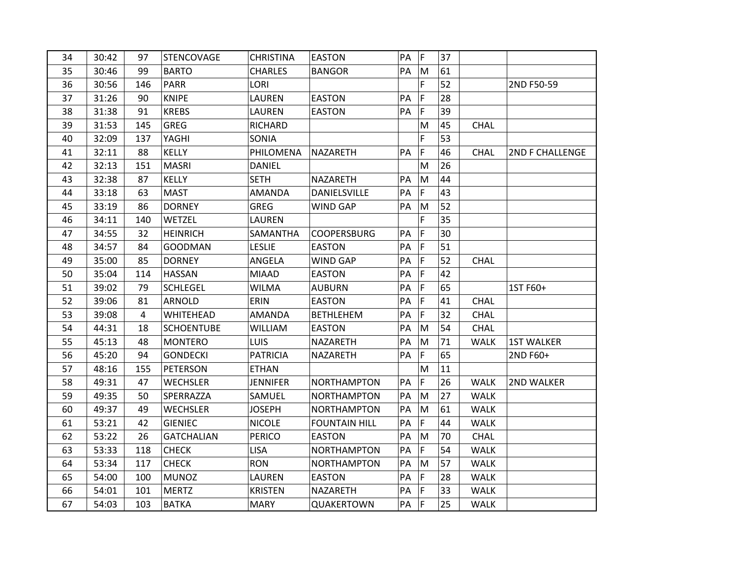| 34 | 30:42 | 97  | STENCOVAGE        | <b>CHRISTINA</b> | <b>EASTON</b>        | PA | F | 37 |             |                        |
|----|-------|-----|-------------------|------------------|----------------------|----|---|----|-------------|------------------------|
| 35 | 30:46 | 99  | <b>BARTO</b>      | <b>CHARLES</b>   | <b>BANGOR</b>        | PA | M | 61 |             |                        |
| 36 | 30:56 | 146 | <b>PARR</b>       | LORI             |                      |    | F | 52 |             | 2ND F50-59             |
| 37 | 31:26 | 90  | <b>KNIPE</b>      | LAUREN           | <b>EASTON</b>        | PA | F | 28 |             |                        |
| 38 | 31:38 | 91  | <b>KREBS</b>      | LAUREN           | <b>EASTON</b>        | PA | F | 39 |             |                        |
| 39 | 31:53 | 145 | <b>GREG</b>       | <b>RICHARD</b>   |                      |    | M | 45 | <b>CHAL</b> |                        |
| 40 | 32:09 | 137 | YAGHI             | SONIA            |                      |    | F | 53 |             |                        |
| 41 | 32:11 | 88  | <b>KELLY</b>      | PHILOMENA        | <b>NAZARETH</b>      | PA | F | 46 | <b>CHAL</b> | <b>2ND F CHALLENGE</b> |
| 42 | 32:13 | 151 | <b>MASRI</b>      | <b>DANIEL</b>    |                      |    | M | 26 |             |                        |
| 43 | 32:38 | 87  | <b>KELLY</b>      | <b>SETH</b>      | NAZARETH             | PA | M | 44 |             |                        |
| 44 | 33:18 | 63  | <b>MAST</b>       | <b>AMANDA</b>    | DANIELSVILLE         | PA | F | 43 |             |                        |
| 45 | 33:19 | 86  | <b>DORNEY</b>     | <b>GREG</b>      | WIND GAP             | PA | M | 52 |             |                        |
| 46 | 34:11 | 140 | <b>WETZEL</b>     | LAUREN           |                      |    | F | 35 |             |                        |
| 47 | 34:55 | 32  | <b>HEINRICH</b>   | SAMANTHA         | <b>COOPERSBURG</b>   | PA | F | 30 |             |                        |
| 48 | 34:57 | 84  | <b>GOODMAN</b>    | <b>LESLIE</b>    | <b>EASTON</b>        | PA | F | 51 |             |                        |
| 49 | 35:00 | 85  | <b>DORNEY</b>     | ANGELA           | <b>WIND GAP</b>      | PA | F | 52 | <b>CHAL</b> |                        |
| 50 | 35:04 | 114 | HASSAN            | <b>MIAAD</b>     | <b>EASTON</b>        | PA | F | 42 |             |                        |
| 51 | 39:02 | 79  | <b>SCHLEGEL</b>   | <b>WILMA</b>     | <b>AUBURN</b>        | PA | F | 65 |             | 1ST F60+               |
| 52 | 39:06 | 81  | ARNOLD            | ERIN             | <b>EASTON</b>        | PA | F | 41 | <b>CHAL</b> |                        |
| 53 | 39:08 | 4   | <b>WHITEHEAD</b>  | <b>AMANDA</b>    | <b>BETHLEHEM</b>     | PA | F | 32 | CHAL        |                        |
| 54 | 44:31 | 18  | <b>SCHOENTUBE</b> | <b>WILLIAM</b>   | <b>EASTON</b>        | PA | M | 54 | CHAL        |                        |
| 55 | 45:13 | 48  | <b>MONTERO</b>    | <b>LUIS</b>      | NAZARETH             | PA | M | 71 | <b>WALK</b> | <b>1ST WALKER</b>      |
| 56 | 45:20 | 94  | <b>GONDECKI</b>   | <b>PATRICIA</b>  | NAZARETH             | PA | F | 65 |             | 2ND F60+               |
| 57 | 48:16 | 155 | PETERSON          | <b>ETHAN</b>     |                      |    | M | 11 |             |                        |
| 58 | 49:31 | 47  | <b>WECHSLER</b>   | <b>JENNIFER</b>  | <b>NORTHAMPTON</b>   | PA | F | 26 | <b>WALK</b> | 2ND WALKER             |
| 59 | 49:35 | 50  | SPERRAZZA         | SAMUEL           | NORTHAMPTON          | PA | M | 27 | <b>WALK</b> |                        |
| 60 | 49:37 | 49  | <b>WECHSLER</b>   | <b>JOSEPH</b>    | <b>NORTHAMPTON</b>   | PA | M | 61 | <b>WALK</b> |                        |
| 61 | 53:21 | 42  | <b>GIENIEC</b>    | <b>NICOLE</b>    | <b>FOUNTAIN HILL</b> | PA | F | 44 | <b>WALK</b> |                        |
| 62 | 53:22 | 26  | <b>GATCHALIAN</b> | <b>PERICO</b>    | <b>EASTON</b>        | PA | M | 70 | <b>CHAL</b> |                        |
| 63 | 53:33 | 118 | <b>CHECK</b>      | <b>LISA</b>      | <b>NORTHAMPTON</b>   | PA | F | 54 | <b>WALK</b> |                        |
| 64 | 53:34 | 117 | <b>CHECK</b>      | <b>RON</b>       | NORTHAMPTON          | PA | M | 57 | <b>WALK</b> |                        |
| 65 | 54:00 | 100 | <b>MUNOZ</b>      | LAUREN           | <b>EASTON</b>        | PA | F | 28 | <b>WALK</b> |                        |
| 66 | 54:01 | 101 | <b>MERTZ</b>      | <b>KRISTEN</b>   | NAZARETH             | PA | F | 33 | <b>WALK</b> |                        |
| 67 | 54:03 | 103 | <b>BATKA</b>      | <b>MARY</b>      | QUAKERTOWN           | PA | F | 25 | <b>WALK</b> |                        |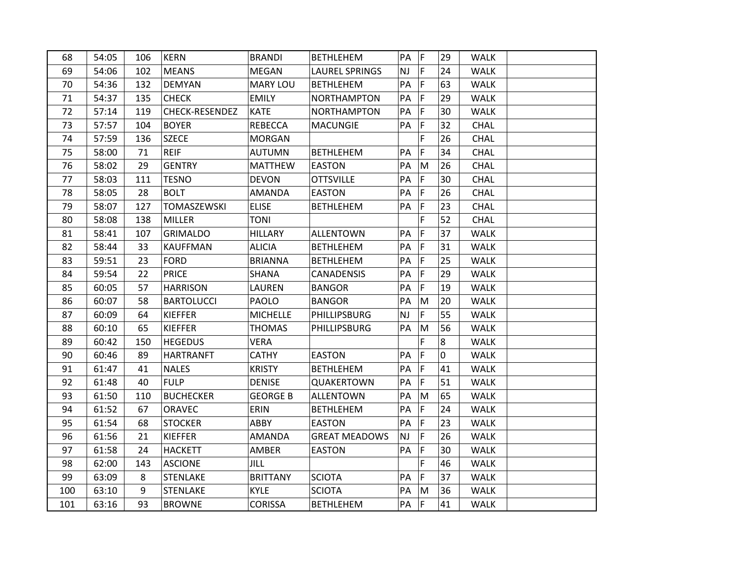| 68  | 54:05 | 106 | <b>KERN</b>        | <b>BRANDI</b>   | <b>BETHLEHEM</b>      | PA        | F  | 29 | <b>WALK</b> |  |
|-----|-------|-----|--------------------|-----------------|-----------------------|-----------|----|----|-------------|--|
| 69  | 54:06 | 102 | <b>MEANS</b>       | <b>MEGAN</b>    | <b>LAUREL SPRINGS</b> | NJ.       | F  | 24 | <b>WALK</b> |  |
| 70  | 54:36 | 132 | <b>DEMYAN</b>      | <b>MARY LOU</b> | <b>BETHLEHEM</b>      | PA        | F  | 63 | <b>WALK</b> |  |
| 71  | 54:37 | 135 | <b>CHECK</b>       | <b>EMILY</b>    | <b>NORTHAMPTON</b>    | PA        | F  | 29 | <b>WALK</b> |  |
| 72  | 57:14 | 119 | CHECK-RESENDEZ     | <b>KATE</b>     | <b>NORTHAMPTON</b>    | PA        | F  | 30 | <b>WALK</b> |  |
| 73  | 57:57 | 104 | <b>BOYER</b>       | <b>REBECCA</b>  | <b>MACUNGIE</b>       | PA        | F  | 32 | CHAL        |  |
| 74  | 57:59 | 136 | <b>SZECE</b>       | <b>MORGAN</b>   |                       |           | F  | 26 | <b>CHAL</b> |  |
| 75  | 58:00 | 71  | <b>REIF</b>        | <b>AUTUMN</b>   | <b>BETHLEHEM</b>      | PA        | F  | 34 | <b>CHAL</b> |  |
| 76  | 58:02 | 29  | <b>GENTRY</b>      | <b>MATTHEW</b>  | <b>EASTON</b>         | PA        | M  | 26 | <b>CHAL</b> |  |
| 77  | 58:03 | 111 | <b>TESNO</b>       | <b>DEVON</b>    | <b>OTTSVILLE</b>      | PA        | F  | 30 | <b>CHAL</b> |  |
| 78  | 58:05 | 28  | <b>BOLT</b>        | <b>AMANDA</b>   | <b>EASTON</b>         | PA        | F  | 26 | CHAL        |  |
| 79  | 58:07 | 127 | <b>TOMASZEWSKI</b> | <b>ELISE</b>    | <b>BETHLEHEM</b>      | PA        | F  | 23 | CHAL        |  |
| 80  | 58:08 | 138 | <b>MILLER</b>      | TONI            |                       |           | F  | 52 | <b>CHAL</b> |  |
| 81  | 58:41 | 107 | <b>GRIMALDO</b>    | <b>HILLARY</b>  | <b>ALLENTOWN</b>      | PA        | F  | 37 | <b>WALK</b> |  |
| 82  | 58:44 | 33  | KAUFFMAN           | <b>ALICIA</b>   | <b>BETHLEHEM</b>      | PA        | F  | 31 | <b>WALK</b> |  |
| 83  | 59:51 | 23  | <b>FORD</b>        | <b>BRIANNA</b>  | <b>BETHLEHEM</b>      | PA        | F  | 25 | <b>WALK</b> |  |
| 84  | 59:54 | 22  | <b>PRICE</b>       | SHANA           | CANADENSIS            | PA        | F  | 29 | <b>WALK</b> |  |
| 85  | 60:05 | 57  | <b>HARRISON</b>    | LAUREN          | <b>BANGOR</b>         | PA        | F  | 19 | <b>WALK</b> |  |
| 86  | 60:07 | 58  | <b>BARTOLUCCI</b>  | PAOLO           | <b>BANGOR</b>         | PA        | M  | 20 | <b>WALK</b> |  |
| 87  | 60:09 | 64  | <b>KIEFFER</b>     | <b>MICHELLE</b> | <b>PHILLIPSBURG</b>   | <b>NJ</b> | F  | 55 | <b>WALK</b> |  |
| 88  | 60:10 | 65  | <b>KIEFFER</b>     | <b>THOMAS</b>   | <b>PHILLIPSBURG</b>   | PA        | M  | 56 | <b>WALK</b> |  |
| 89  | 60:42 | 150 | <b>HEGEDUS</b>     | <b>VERA</b>     |                       |           | F  | 8  | <b>WALK</b> |  |
| 90  | 60:46 | 89  | <b>HARTRANFT</b>   | <b>CATHY</b>    | <b>EASTON</b>         | PA        | F  | 0  | <b>WALK</b> |  |
| 91  | 61:47 | 41  | <b>NALES</b>       | <b>KRISTY</b>   | <b>BETHLEHEM</b>      | PA        | F  | 41 | <b>WALK</b> |  |
| 92  | 61:48 | 40  | <b>FULP</b>        | <b>DENISE</b>   | QUAKERTOWN            | PA        | F  | 51 | <b>WALK</b> |  |
| 93  | 61:50 | 110 | <b>BUCHECKER</b>   | <b>GEORGE B</b> | <b>ALLENTOWN</b>      | PA        | M  | 65 | <b>WALK</b> |  |
| 94  | 61:52 | 67  | ORAVEC             | ERIN            | <b>BETHLEHEM</b>      | PA        | F. | 24 | <b>WALK</b> |  |
| 95  | 61:54 | 68  | <b>STOCKER</b>     | ABBY            | <b>EASTON</b>         | PA        | F  | 23 | <b>WALK</b> |  |
| 96  | 61:56 | 21  | <b>KIEFFER</b>     | <b>AMANDA</b>   | <b>GREAT MEADOWS</b>  | <b>NJ</b> | F  | 26 | <b>WALK</b> |  |
| 97  | 61:58 | 24  | HACKETT            | AMBER           | <b>EASTON</b>         | PA        | F  | 30 | <b>WALK</b> |  |
| 98  | 62:00 | 143 | <b>ASCIONE</b>     | JILL            |                       |           | F  | 46 | <b>WALK</b> |  |
| 99  | 63:09 | 8   | <b>STENLAKE</b>    | <b>BRITTANY</b> | <b>SCIOTA</b>         | PA        | F  | 37 | <b>WALK</b> |  |
| 100 | 63:10 | 9   | <b>STENLAKE</b>    | <b>KYLE</b>     | <b>SCIOTA</b>         | PA        | M  | 36 | <b>WALK</b> |  |
| 101 | 63:16 | 93  | <b>BROWNE</b>      | <b>CORISSA</b>  | <b>BETHLEHEM</b>      | PA        | F  | 41 | <b>WALK</b> |  |